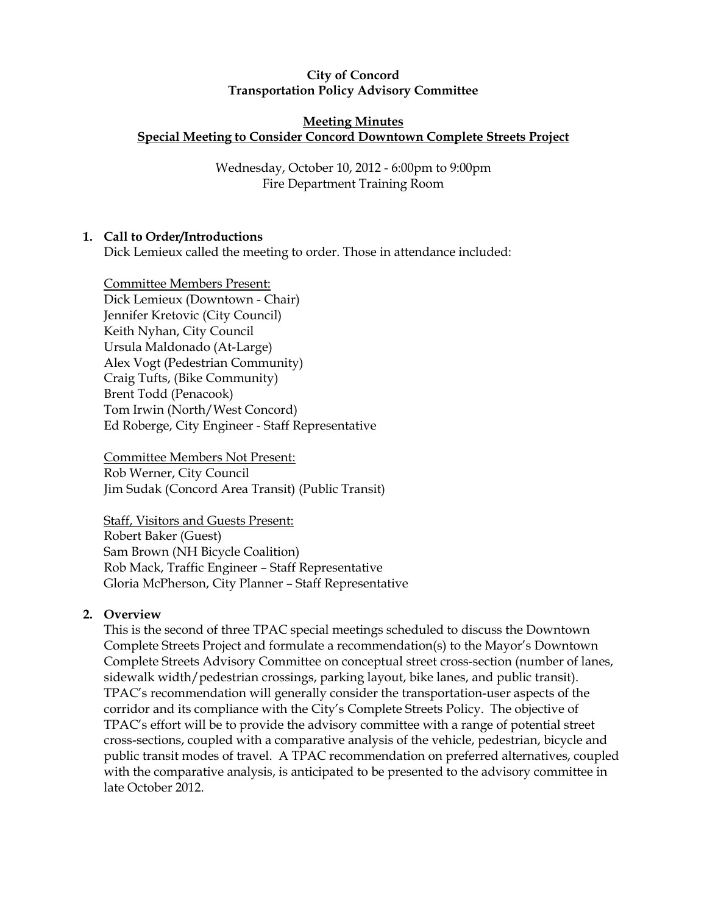### City of Concord Transportation Policy Advisory Committee

#### Meeting Minutes Special Meeting to Consider Concord Downtown Complete Streets Project

Wednesday, October 10, 2012 - 6:00pm to 9:00pm Fire Department Training Room

# 1. Call to Order/Introductions

Dick Lemieux called the meeting to order. Those in attendance included:

Committee Members Present: Dick Lemieux (Downtown - Chair) Jennifer Kretovic (City Council) Keith Nyhan, City Council Ursula Maldonado (At-Large) Alex Vogt (Pedestrian Community) Craig Tufts, (Bike Community) Brent Todd (Penacook) Tom Irwin (North/West Concord) Ed Roberge, City Engineer - Staff Representative

Committee Members Not Present: Rob Werner, City Council Jim Sudak (Concord Area Transit) (Public Transit)

Staff, Visitors and Guests Present: Robert Baker (Guest) Sam Brown (NH Bicycle Coalition) Rob Mack, Traffic Engineer – Staff Representative Gloria McPherson, City Planner – Staff Representative

## 2. Overview

This is the second of three TPAC special meetings scheduled to discuss the Downtown Complete Streets Project and formulate a recommendation(s) to the Mayor's Downtown Complete Streets Advisory Committee on conceptual street cross-section (number of lanes, sidewalk width/pedestrian crossings, parking layout, bike lanes, and public transit). TPAC's recommendation will generally consider the transportation-user aspects of the corridor and its compliance with the City's Complete Streets Policy. The objective of TPAC's effort will be to provide the advisory committee with a range of potential street cross-sections, coupled with a comparative analysis of the vehicle, pedestrian, bicycle and public transit modes of travel. A TPAC recommendation on preferred alternatives, coupled with the comparative analysis, is anticipated to be presented to the advisory committee in late October 2012.